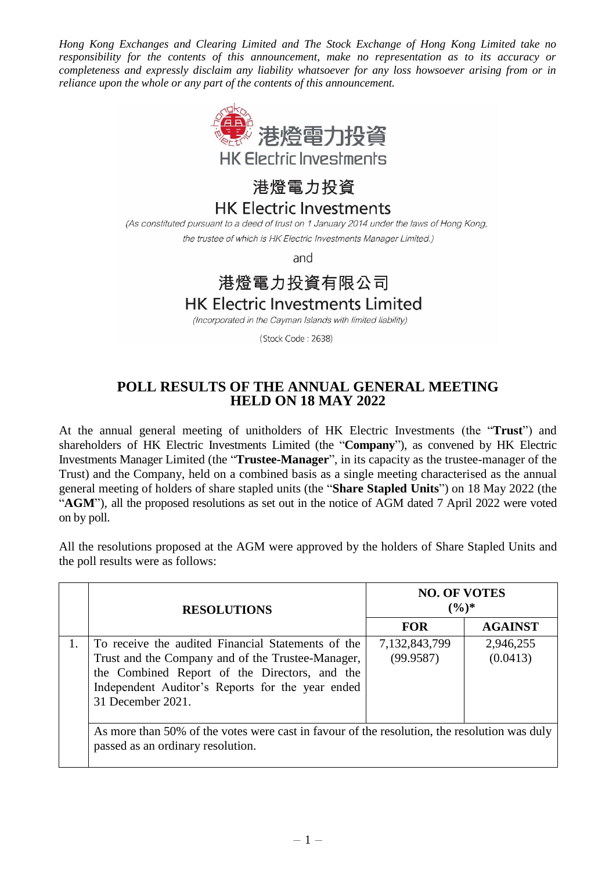*Hong Kong Exchanges and Clearing Limited and The Stock Exchange of Hong Kong Limited take no responsibility for the contents of this announcement, make no representation as to its accuracy or completeness and expressly disclaim any liability whatsoever for any loss howsoever arising from or in reliance upon the whole or any part of the contents of this announcement.* 



## 港燈電力投資

## **HK Electric Investments**

(As constituted pursuant to a deed of trust on 1 January 2014 under the laws of Hong Kong, the trustee of which is HK Electric Investments Manager Limited.)

and

## 港燈電力投資有限公司

**HK Electric Investments Limited** 

(Incorporated in the Cayman Islands with limited liability)

(Stock Code: 2638)

## **POLL RESULTS OF THE ANNUAL GENERAL MEETING HELD ON 18 MAY 2022**

At the annual general meeting of unitholders of HK Electric Investments (the "**Trust**") and shareholders of HK Electric Investments Limited (the "**Company**"), as convened by HK Electric Investments Manager Limited (the "**Trustee-Manager**", in its capacity as the trustee-manager of the Trust) and the Company, held on a combined basis as a single meeting characterised as the annual general meeting of holders of share stapled units (the "**Share Stapled Units**") on 18 May 2022 (the "AGM"), all the proposed resolutions as set out in the notice of AGM dated 7 April 2022 were voted on by poll.

All the resolutions proposed at the AGM were approved by the holders of Share Stapled Units and the poll results were as follows:

| <b>RESOLUTIONS</b>                                                                                                                                                                                                                | <b>NO. OF VOTES</b><br>$(\frac{6}{6})^*$ |                       |  |  |  |
|-----------------------------------------------------------------------------------------------------------------------------------------------------------------------------------------------------------------------------------|------------------------------------------|-----------------------|--|--|--|
|                                                                                                                                                                                                                                   | <b>FOR</b>                               | <b>AGAINST</b>        |  |  |  |
| To receive the audited Financial Statements of the<br>Trust and the Company and of the Trustee-Manager,<br>the Combined Report of the Directors, and the<br>Independent Auditor's Reports for the year ended<br>31 December 2021. | 7,132,843,799<br>(99.9587)               | 2,946,255<br>(0.0413) |  |  |  |
| As more than 50% of the votes were cast in favour of the resolution, the resolution was duly<br>passed as an ordinary resolution.                                                                                                 |                                          |                       |  |  |  |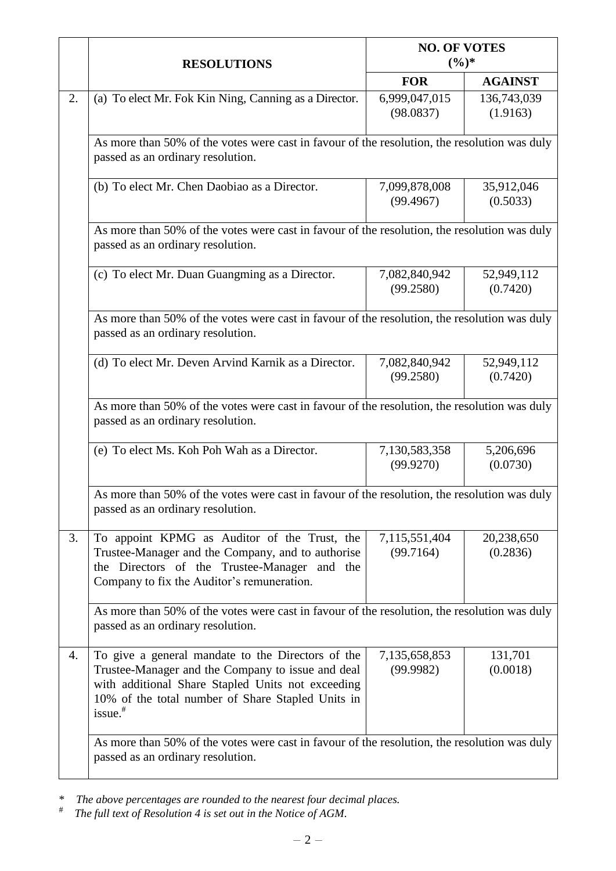|    | <b>RESOLUTIONS</b>                                                                                                                                                                                                                | <b>NO. OF VOTES</b><br>$(\frac{6}{6})^*$ |                         |  |  |  |  |
|----|-----------------------------------------------------------------------------------------------------------------------------------------------------------------------------------------------------------------------------------|------------------------------------------|-------------------------|--|--|--|--|
|    |                                                                                                                                                                                                                                   | <b>FOR</b>                               | <b>AGAINST</b>          |  |  |  |  |
| 2. | (a) To elect Mr. Fok Kin Ning, Canning as a Director.                                                                                                                                                                             | 6,999,047,015<br>(98.0837)               | 136,743,039<br>(1.9163) |  |  |  |  |
|    | As more than 50% of the votes were cast in favour of the resolution, the resolution was duly<br>passed as an ordinary resolution.                                                                                                 |                                          |                         |  |  |  |  |
|    | (b) To elect Mr. Chen Daobiao as a Director.                                                                                                                                                                                      | 7,099,878,008<br>(99.4967)               | 35,912,046<br>(0.5033)  |  |  |  |  |
|    | As more than 50% of the votes were cast in favour of the resolution, the resolution was duly<br>passed as an ordinary resolution.                                                                                                 |                                          |                         |  |  |  |  |
|    | (c) To elect Mr. Duan Guangming as a Director.                                                                                                                                                                                    | 7,082,840,942<br>(99.2580)               | 52,949,112<br>(0.7420)  |  |  |  |  |
|    | As more than 50% of the votes were cast in favour of the resolution, the resolution was duly<br>passed as an ordinary resolution.                                                                                                 |                                          |                         |  |  |  |  |
|    | (d) To elect Mr. Deven Arvind Karnik as a Director.                                                                                                                                                                               | 7,082,840,942<br>(99.2580)               | 52,949,112<br>(0.7420)  |  |  |  |  |
|    | As more than 50% of the votes were cast in favour of the resolution, the resolution was duly<br>passed as an ordinary resolution.                                                                                                 |                                          |                         |  |  |  |  |
|    | (e) To elect Ms. Koh Poh Wah as a Director.                                                                                                                                                                                       | 7,130,583,358<br>(99.9270)               | 5,206,696<br>(0.0730)   |  |  |  |  |
|    | As more than 50% of the votes were cast in favour of the resolution, the resolution was duly<br>passed as an ordinary resolution.                                                                                                 |                                          |                         |  |  |  |  |
| 3. | To appoint KPMG as Auditor of the Trust, the<br>Trustee-Manager and the Company, and to authorise<br>the Directors of the Trustee-Manager and the<br>Company to fix the Auditor's remuneration.                                   | 7,115,551,404<br>(99.7164)               | 20,238,650<br>(0.2836)  |  |  |  |  |
|    | As more than 50% of the votes were cast in favour of the resolution, the resolution was duly<br>passed as an ordinary resolution.                                                                                                 |                                          |                         |  |  |  |  |
| 4. | To give a general mandate to the Directors of the<br>Trustee-Manager and the Company to issue and deal<br>with additional Share Stapled Units not exceeding<br>10% of the total number of Share Stapled Units in<br>$i$ ssue. $*$ | 7,135,658,853<br>(99.9982)               | 131,701<br>(0.0018)     |  |  |  |  |
|    | As more than 50% of the votes were cast in favour of the resolution, the resolution was duly<br>passed as an ordinary resolution.                                                                                                 |                                          |                         |  |  |  |  |

\* *The above percentages are rounded to the nearest four decimal places.*

#  *The full text of Resolution 4 is set out in the Notice of AGM.*